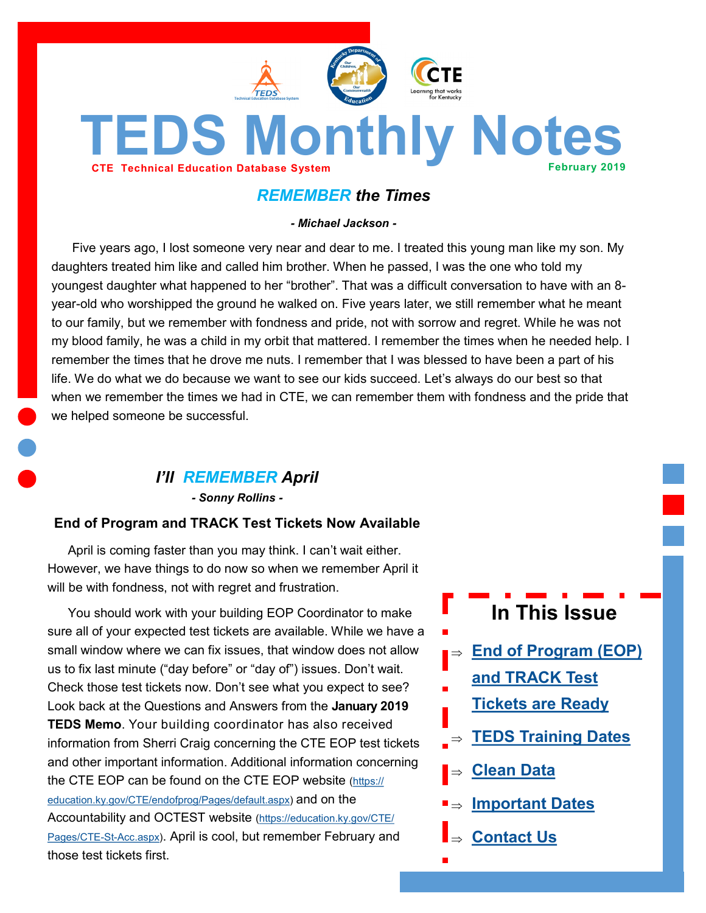

# <span id="page-0-0"></span>**TEDS Monthly Notes CTE Technical Education Database System February 2019**

# *REMEMBER the Times*

*- Michael Jackson -*

Five years ago, I lost someone very near and dear to me. I treated this young man like my son. My daughters treated him like and called him brother. When he passed, I was the one who told my youngest daughter what happened to her "brother". That was a difficult conversation to have with an 8 year-old who worshipped the ground he walked on. Five years later, we still remember what he meant to our family, but we remember with fondness and pride, not with sorrow and regret. While he was not my blood family, he was a child in my orbit that mattered. I remember the times when he needed help. I remember the times that he drove me nuts. I remember that I was blessed to have been a part of his life. We do what we do because we want to see our kids succeed. Let's always do our best so that when we remember the times we had in CTE, we can remember them with fondness and the pride that we helped someone be successful.

## *I'll REMEMBER April*

*- Sonny Rollins -*

#### **End of Program and TRACK Test Tickets Now Available**

April is coming faster than you may think. I can't wait either. However, we have things to do now so when we remember April it will be with fondness, not with regret and frustration.

You should work with your building EOP Coordinator to make sure all of your expected test tickets are available. While we have a small window where we can fix issues, that window does not allow us to fix last minute ("day before" or "day of") issues. Don't wait. Check those test tickets now. Don't see what you expect to see? Look back at the Questions and Answers from the **January 2019 TEDS Memo**. Your building coordinator has also received information from Sherri Craig concerning the CTE EOP test tickets and other important information. Additional information concerning the CTE EOP can be found on the CTE EOP website [\(https://](https://education.ky.gov/CTE/endofprog/Pages/default.aspx) [education.ky.gov/CTE/endofprog/Pages/default.aspx\)](https://education.ky.gov/CTE/endofprog/Pages/default.aspx) and on the Accountability and OCTEST website ([https://education.ky.gov/CTE/](https://education.ky.gov/CTE/Pages/CTE-St-Acc.aspx) [Pages/CTE](https://education.ky.gov/CTE/Pages/CTE-St-Acc.aspx)-St-Acc.aspx). April is cool, but remember February and those test tickets first.

- **In This Issue**
- $\Rightarrow$  **End of Program (EOP)** 
	- **[and TRACK Test](#page-0-0)**
	- **[Tickets are Ready](#page-0-0)**
- **[TEDS Training Dates](#page-1-0)**
- **[Clean Data](#page-1-0)**
- **[Important Dates](#page-2-0)**
- **[Contact Us](#page-2-0)**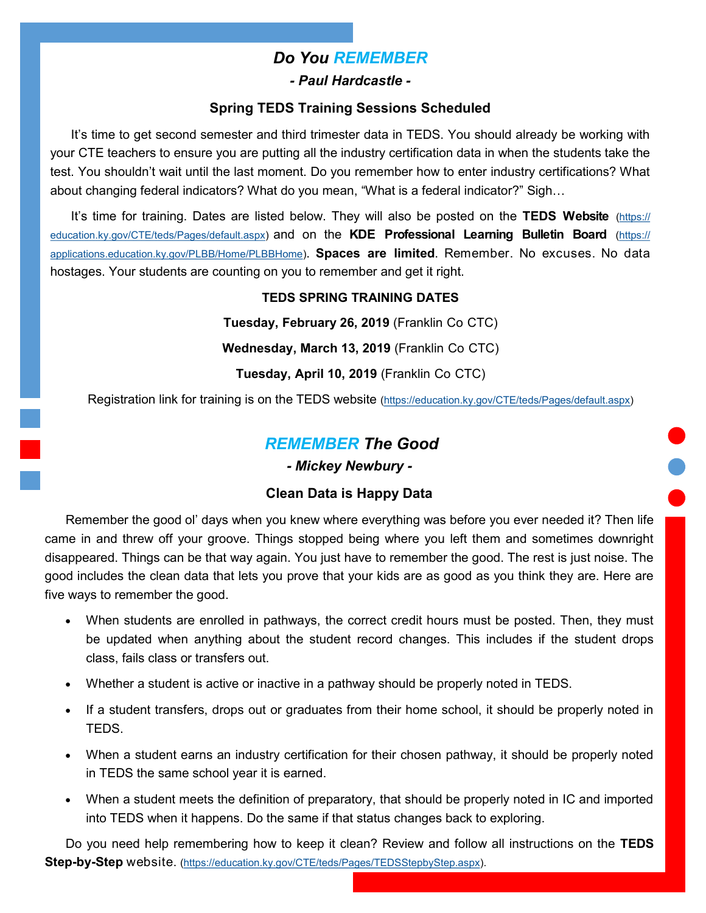## *Do You REMEMBER*

*- Paul Hardcastle -*

#### **Spring TEDS Training Sessions Scheduled**

<span id="page-1-0"></span>It's time to get second semester and third trimester data in TEDS. You should already be working with your CTE teachers to ensure you are putting all the industry certification data in when the students take the test. You shouldn't wait until the last moment. Do you remember how to enter industry certifications? What about changing federal indicators? What do you mean, "What is a federal indicator?" Sigh…

It's time for training. Dates are listed below. They will also be posted on the **TEDS Website** [\(https://](https://education.ky.gov/CTE/teds/Pages/default.aspx) [education.ky.gov/CTE/teds/Pages/default.aspx\)](https://education.ky.gov/CTE/teds/Pages/default.aspx) and on the **KDE Professional Learning Bulletin Board** [\(https://](https://applications.education.ky.gov/PLBB/Home/PLBBHome) [applications.education.ky.gov/PLBB/Home/PLBBHome\)](https://applications.education.ky.gov/PLBB/Home/PLBBHome). **Spaces are limited**. Remember. No excuses. No data hostages. Your students are counting on you to remember and get it right.

#### **TEDS SPRING TRAINING DATES**

**Tuesday, February 26, 2019** (Franklin Co CTC)

**Wednesday, March 13, 2019** (Franklin Co CTC)

**Tuesday, April 10, 2019** (Franklin Co CTC)

Registration link for training is on the TEDS website [\(https://education.ky.gov/CTE/teds/Pages/default.aspx\)](https://education.ky.gov/CTE/teds/Pages/default.aspx)

## *REMEMBER The Good*

*- Mickey Newbury -*

#### **Clean Data is Happy Data**

Remember the good ol' days when you knew where everything was before you ever needed it? Then life came in and threw off your groove. Things stopped being where you left them and sometimes downright disappeared. Things can be that way again. You just have to remember the good. The rest is just noise. The good includes the clean data that lets you prove that your kids are as good as you think they are. Here are five ways to remember the good.

- When students are enrolled in pathways, the correct credit hours must be posted. Then, they must be updated when anything about the student record changes. This includes if the student drops class, fails class or transfers out.
- Whether a student is active or inactive in a pathway should be properly noted in TEDS.
- If a student transfers, drops out or graduates from their home school, it should be properly noted in TEDS.
- When a student earns an industry certification for their chosen pathway, it should be properly noted in TEDS the same school year it is earned.
- When a student meets the definition of preparatory, that should be properly noted in IC and imported into TEDS when it happens. Do the same if that status changes back to exploring.

Do you need help remembering how to keep it clean? Review and follow all instructions on the **TEDS Step-by-Step** website. [\(https://education.ky.gov/CTE/teds/Pages/TEDSStepbyStep.aspx\).](https://education.ky.gov/CTE/teds/Pages/TEDSStepbyStep.aspx)